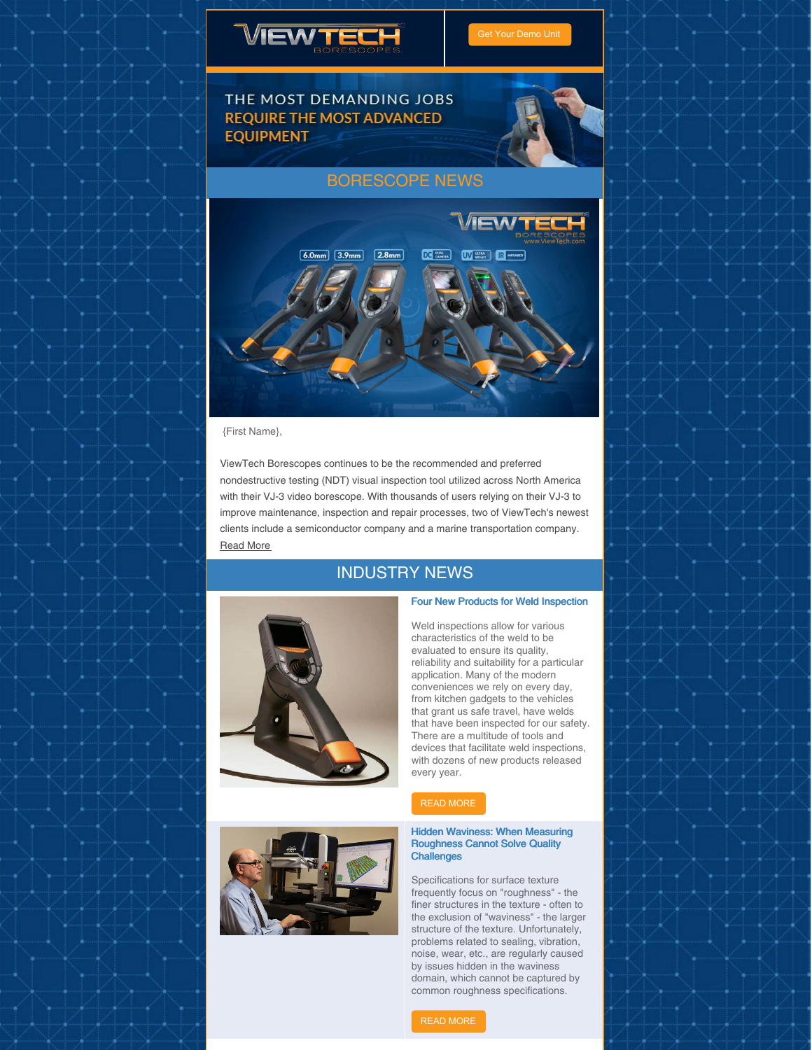



THE MOST DEMANDING JOBS **REQUIRE THE MOST ADVANCED EQUIPMENT** 



## [BORESCOPE](https://www.viewtech.com/news/?utm_source=newsletter&utm_medium=email&utm_campaign=newsletter0820) NEWS



{First Name},

ViewTech Borescopes continues to be the recommended and preferred nondestructive testing (NDT) visual inspection tool utilized across North America with their VJ-3 video borescope. With thousands of users relying on their VJ-3 to improve maintenance, inspection and repair processes, two of ViewTech's newest clients include a semiconductor company and a marine transportation company. [Read](https://www.viewtech.com/viewtech-borescopes-announces-q3-2020-new-vj-3-video-borescope-users/?utm_source=newsletter&utm_medium=email&utm_campaign=newsletter0820) More

## INDUSTRY NEWS





### Four New Products for Weld Inspection

Weld inspections allow for various characteristics of the weld to be evaluated to ensure its quality, reliability and suitability for a particular application. Many of the modern conveniences we rely on every day, from kitchen gadgets to the vehicles that grant us safe travel, have welds that have been inspected for our safety. There are a multitude of tools and devices that facilitate weld inspections, with dozens of new products released every year.



### Hidden Waviness: When Measuring Roughness Cannot Solve Quality **Challenges**

Specifications for surface texture frequently focus on "roughness" - the finer structures in the texture - often to the exclusion of "waviness" - the larger structure of the texture. Unfortunately, problems related to sealing, vibration, noise, wear, etc., are regularly caused by issues hidden in the waviness domain, which cannot be captured by common roughness specifications.

READ [MORE](https://www.qualitymag.com/articles/96092-hidden-waviness-when-measuring-roughness-cannot-solve-quality-challenges?oly_enc_id=7121J1698590F4R)